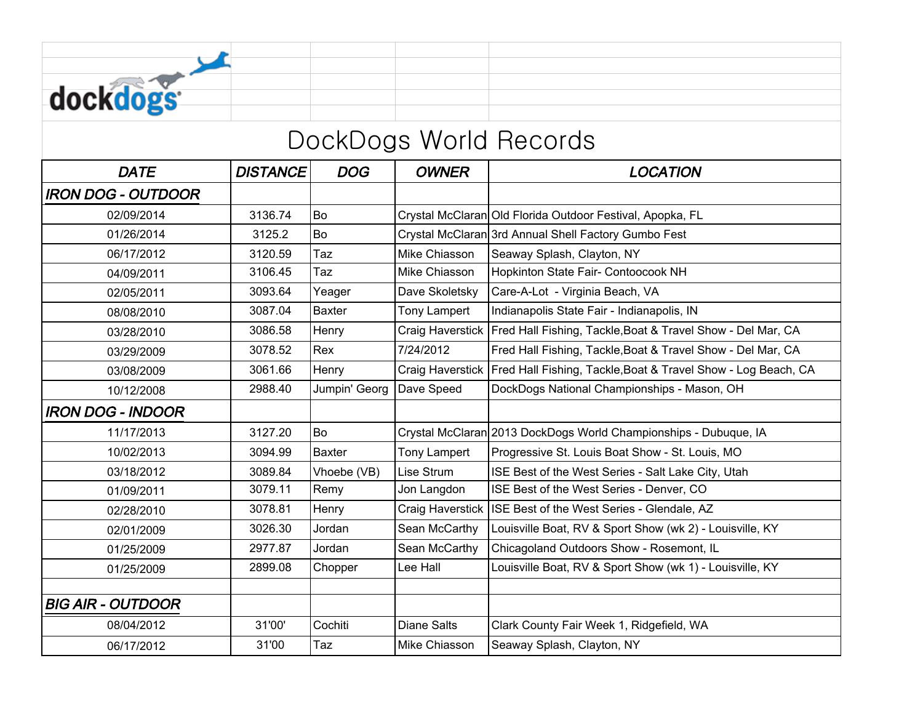| dockdogs               |                 |               |                  |                                                                                  |  |  |  |
|------------------------|-----------------|---------------|------------------|----------------------------------------------------------------------------------|--|--|--|
| DockDogs World Records |                 |               |                  |                                                                                  |  |  |  |
| <b>DATE</b>            | <b>DISTANCE</b> | DOG           | <b>OWNER</b>     | <b>LOCATION</b>                                                                  |  |  |  |
| IRON DOG - OUTDOOR     |                 |               |                  |                                                                                  |  |  |  |
| 02/09/2014             | 3136.74         | Bo            |                  | Crystal McClaran Old Florida Outdoor Festival, Apopka, FL                        |  |  |  |
| 01/26/2014             | 3125.2          | Bo            |                  | Crystal McClaran 3rd Annual Shell Factory Gumbo Fest                             |  |  |  |
| 06/17/2012             | 3120.59         | Taz           | Mike Chiasson    | Seaway Splash, Clayton, NY                                                       |  |  |  |
| 04/09/2011             | 3106.45         | Taz           | Mike Chiasson    | Hopkinton State Fair- Contoocook NH                                              |  |  |  |
| 02/05/2011             | 3093.64         | Yeager        | Dave Skoletsky   | Care-A-Lot - Virginia Beach, VA                                                  |  |  |  |
| 08/08/2010             | 3087.04         | <b>Baxter</b> | Tony Lampert     | Indianapolis State Fair - Indianapolis, IN                                       |  |  |  |
| 03/28/2010             | 3086.58         | Henry         | Craig Haverstick | Fred Hall Fishing, Tackle, Boat & Travel Show - Del Mar, CA                      |  |  |  |
| 03/29/2009             | 3078.52         | Rex           | 7/24/2012        | Fred Hall Fishing, Tackle, Boat & Travel Show - Del Mar, CA                      |  |  |  |
| 03/08/2009             | 3061.66         | Henry         |                  | Craig Haverstick   Fred Hall Fishing, Tackle, Boat & Travel Show - Log Beach, CA |  |  |  |
| 10/12/2008             | 2988.40         | Jumpin' Georg | Dave Speed       | DockDogs National Championships - Mason, OH                                      |  |  |  |
| IRON DOG - INDOOR      |                 |               |                  |                                                                                  |  |  |  |
| 11/17/2013             | 3127.20         | Bo            |                  | Crystal McClaran 2013 DockDogs World Championships - Dubuque, IA                 |  |  |  |
| 10/02/2013             | 3094.99         | <b>Baxter</b> | Tony Lampert     | Progressive St. Louis Boat Show - St. Louis, MO                                  |  |  |  |
| 03/18/2012             | 3089.84         | Vhoebe (VB)   | Lise Strum       | ISE Best of the West Series - Salt Lake City, Utah                               |  |  |  |

01/09/2011 1 3079.11 Remy Jon Langdon ISE Best of the West Series - Denver, CO 02/28/2010 3078.81 Henry Craig Haverstick ISE Best of the West Series - Glendale, AZ

01/25/2009 2977.87 Jordan Sean McCarthy Chicagoland Outdoors Show - Rosemont, IL

08/04/2012 | 31'00' Cochiti | Diane Salts | Clark County Fair Week 1, Ridgefield, WA

06/17/2012 131'00 Taz Mike Chiasson Seaway Splash, Clayton, NY

BIG AIR - OUTDOOR

02/01/2009 3026.30 Jordan Sean McCarthy Louisville Boat, RV & Sport Show (wk 2) - Louisville, KY

01/25/2009 2899.08 Chopper Lee Hall Louisville Boat, RV & Sport Show (wk 1) - Louisville, KY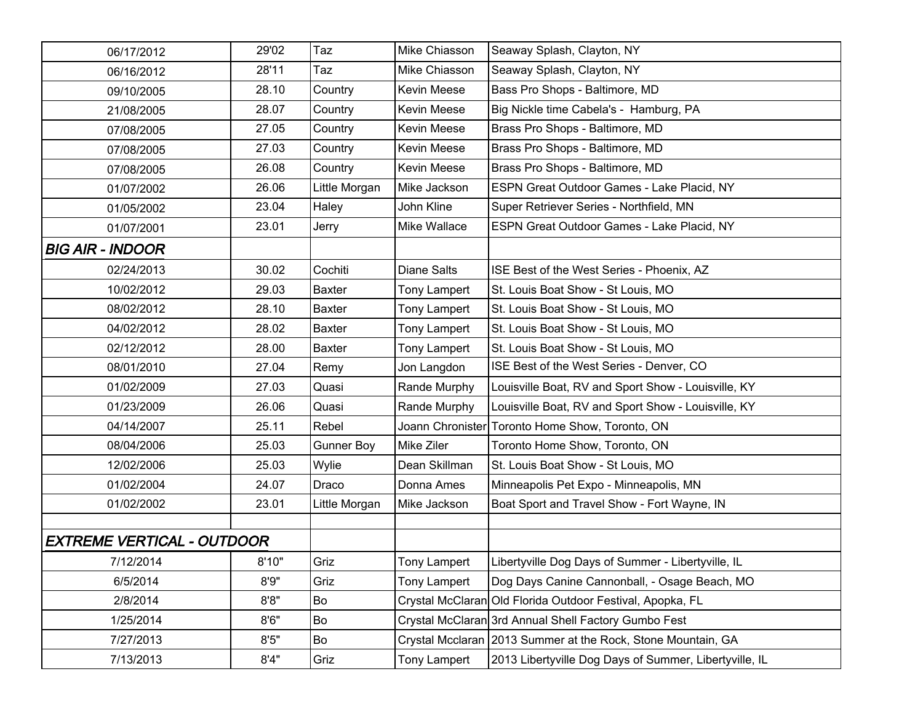| 06/17/2012                        | 29'02 | Taz               | Mike Chiasson       | Seaway Splash, Clayton, NY                                   |
|-----------------------------------|-------|-------------------|---------------------|--------------------------------------------------------------|
| 06/16/2012                        | 28'11 | Taz               | Mike Chiasson       | Seaway Splash, Clayton, NY                                   |
| 09/10/2005                        | 28.10 | Country           | Kevin Meese         | Bass Pro Shops - Baltimore, MD                               |
| 21/08/2005                        | 28.07 | Country           | Kevin Meese         | Big Nickle time Cabela's - Hamburg, PA                       |
| 07/08/2005                        | 27.05 | Country           | Kevin Meese         | Brass Pro Shops - Baltimore, MD                              |
| 07/08/2005                        | 27.03 | Country           | <b>Kevin Meese</b>  | Brass Pro Shops - Baltimore, MD                              |
| 07/08/2005                        | 26.08 | Country           | Kevin Meese         | Brass Pro Shops - Baltimore, MD                              |
| 01/07/2002                        | 26.06 | Little Morgan     | Mike Jackson        | ESPN Great Outdoor Games - Lake Placid, NY                   |
| 01/05/2002                        | 23.04 | Haley             | John Kline          | Super Retriever Series - Northfield, MN                      |
| 01/07/2001                        | 23.01 | Jerry             | Mike Wallace        | ESPN Great Outdoor Games - Lake Placid, NY                   |
| <b>BIG AIR - INDOOR</b>           |       |                   |                     |                                                              |
| 02/24/2013                        | 30.02 | Cochiti           | <b>Diane Salts</b>  | ISE Best of the West Series - Phoenix, AZ                    |
| 10/02/2012                        | 29.03 | <b>Baxter</b>     | <b>Tony Lampert</b> | St. Louis Boat Show - St Louis, MO                           |
| 08/02/2012                        | 28.10 | <b>Baxter</b>     | <b>Tony Lampert</b> | St. Louis Boat Show - St Louis, MO                           |
| 04/02/2012                        | 28.02 | <b>Baxter</b>     | Tony Lampert        | St. Louis Boat Show - St Louis, MO                           |
| 02/12/2012                        | 28.00 | <b>Baxter</b>     | <b>Tony Lampert</b> | St. Louis Boat Show - St Louis, MO                           |
| 08/01/2010                        | 27.04 | Remy              | Jon Langdon         | ISE Best of the West Series - Denver, CO                     |
| 01/02/2009                        | 27.03 | Quasi             | Rande Murphy        | Louisville Boat, RV and Sport Show - Louisville, KY          |
| 01/23/2009                        | 26.06 | Quasi             | Rande Murphy        | Louisville Boat, RV and Sport Show - Louisville, KY          |
| 04/14/2007                        | 25.11 | Rebel             |                     | Joann Chronister Toronto Home Show, Toronto, ON              |
| 08/04/2006                        | 25.03 | <b>Gunner Boy</b> | Mike Ziler          | Toronto Home Show, Toronto, ON                               |
| 12/02/2006                        | 25.03 | Wylie             | Dean Skillman       | St. Louis Boat Show - St Louis, MO                           |
| 01/02/2004                        | 24.07 | Draco             | Donna Ames          | Minneapolis Pet Expo - Minneapolis, MN                       |
| 01/02/2002                        | 23.01 | Little Morgan     | Mike Jackson        | Boat Sport and Travel Show - Fort Wayne, IN                  |
|                                   |       |                   |                     |                                                              |
| <b>EXTREME VERTICAL - OUTDOOR</b> |       |                   |                     |                                                              |
| 7/12/2014                         | 8'10" | Griz              | Tony Lampert        | Libertyville Dog Days of Summer - Libertyville, IL           |
| 6/5/2014                          | 8'9'' | Griz              | Tony Lampert        | Dog Days Canine Cannonball, - Osage Beach, MO                |
| 2/8/2014                          | 8'8'' | Bo                |                     | Crystal McClaran Old Florida Outdoor Festival, Apopka, FL    |
| 1/25/2014                         | 8'6'' | Bo                |                     | Crystal McClaran 3rd Annual Shell Factory Gumbo Fest         |
| 7/27/2013                         | 8'5'' | Bo                |                     | Crystal Mcclaran 2013 Summer at the Rock, Stone Mountain, GA |
| 7/13/2013                         | 8'4'' | Griz              | Tony Lampert        | 2013 Libertyville Dog Days of Summer, Libertyville, IL       |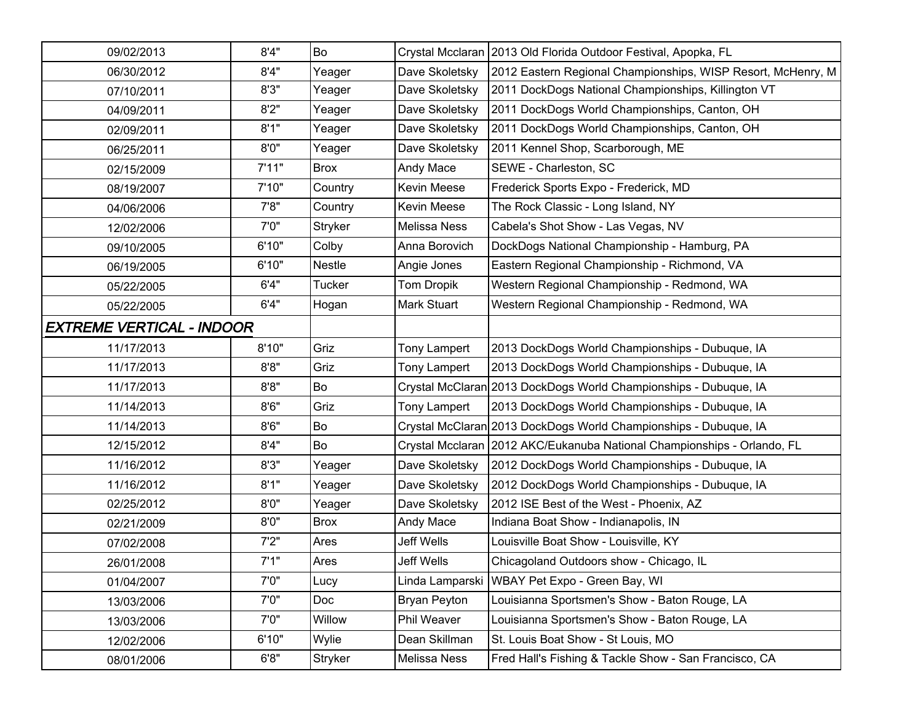| 09/02/2013                | 8'4"  | Bo          |                     | Crystal Mcclaran 2013 Old Florida Outdoor Festival, Apopka, FL          |
|---------------------------|-------|-------------|---------------------|-------------------------------------------------------------------------|
| 06/30/2012                | 8'4"  | Yeager      | Dave Skoletsky      | 2012 Eastern Regional Championships, WISP Resort, McHenry, M            |
| 07/10/2011                | 8'3'' | Yeager      | Dave Skoletsky      | 2011 DockDogs National Championships, Killington VT                     |
| 04/09/2011                | 8'2"  | Yeager      | Dave Skoletsky      | 2011 DockDogs World Championships, Canton, OH                           |
| 02/09/2011                | 8'1"  | Yeager      | Dave Skoletsky      | 2011 DockDogs World Championships, Canton, OH                           |
| 06/25/2011                | 8'0'' | Yeager      | Dave Skoletsky      | 2011 Kennel Shop, Scarborough, ME                                       |
| 02/15/2009                | 7'11" | <b>Brox</b> | Andy Mace           | SEWE - Charleston, SC                                                   |
| 08/19/2007                | 7'10" | Country     | Kevin Meese         | Frederick Sports Expo - Frederick, MD                                   |
| 04/06/2006                | 7'8'' | Country     | Kevin Meese         | The Rock Classic - Long Island, NY                                      |
| 12/02/2006                | 7'0'' | Stryker     | Melissa Ness        | Cabela's Shot Show - Las Vegas, NV                                      |
| 09/10/2005                | 6'10" | Colby       | Anna Borovich       | DockDogs National Championship - Hamburg, PA                            |
| 06/19/2005                | 6'10" | Nestle      | Angie Jones         | Eastern Regional Championship - Richmond, VA                            |
| 05/22/2005                | 6'4"  | Tucker      | Tom Dropik          | Western Regional Championship - Redmond, WA                             |
| 05/22/2005                | 6'4"  | Hogan       | Mark Stuart         | Western Regional Championship - Redmond, WA                             |
| EXTREME VERTICAL - INDOOR |       |             |                     |                                                                         |
| 11/17/2013                | 8'10" | Griz        | Tony Lampert        | 2013 DockDogs World Championships - Dubuque, IA                         |
| 11/17/2013                | 8'8'' | Griz        | Tony Lampert        | 2013 DockDogs World Championships - Dubuque, IA                         |
| 11/17/2013                | 8'8'' | Bo          |                     | Crystal McClaran 2013 DockDogs World Championships - Dubuque, IA        |
| 11/14/2013                | 8'6'' | Griz        | Tony Lampert        | 2013 DockDogs World Championships - Dubuque, IA                         |
| 11/14/2013                | 8'6'' | Bo          |                     | Crystal McClaran 2013 DockDogs World Championships - Dubuque, IA        |
| 12/15/2012                | 8'4'' | Bo          |                     | Crystal Mcclaran 2012 AKC/Eukanuba National Championships - Orlando, FL |
| 11/16/2012                | 8'3'' | Yeager      | Dave Skoletsky      | 2012 DockDogs World Championships - Dubuque, IA                         |
| 11/16/2012                | 8'1"  | Yeager      | Dave Skoletsky      | 2012 DockDogs World Championships - Dubuque, IA                         |
| 02/25/2012                | 8'0'' | Yeager      | Dave Skoletsky      | 2012 ISE Best of the West - Phoenix, AZ                                 |
| 02/21/2009                | 8'0'' | <b>Brox</b> | Andy Mace           | Indiana Boat Show - Indianapolis, IN                                    |
| 07/02/2008                | 7'2"  | Ares        | Jeff Wells          | Louisville Boat Show - Louisville, KY                                   |
| 26/01/2008                | 7'1"  | Ares        | Jeff Wells          | Chicagoland Outdoors show - Chicago, IL                                 |
| 01/04/2007                | 7'0"  | Lucy        |                     | Linda Lamparski   WBAY Pet Expo - Green Bay, WI                         |
| 13/03/2006                | 7'0'' | Doc         | <b>Bryan Peyton</b> | Louisianna Sportsmen's Show - Baton Rouge, LA                           |
| 13/03/2006                | 7'0"  | Willow      | Phil Weaver         | Louisianna Sportsmen's Show - Baton Rouge, LA                           |
| 12/02/2006                | 6'10" | Wylie       | Dean Skillman       | St. Louis Boat Show - St Louis, MO                                      |
| 08/01/2006                | 6'8'' | Stryker     | Melissa Ness        | Fred Hall's Fishing & Tackle Show - San Francisco, CA                   |